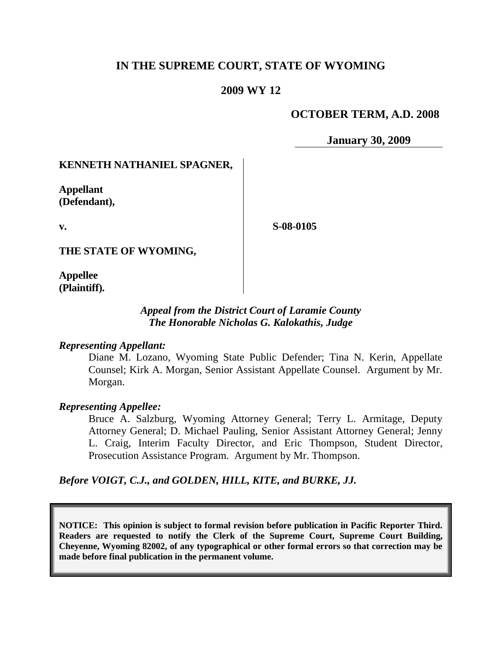# **IN THE SUPREME COURT, STATE OF WYOMING**

## **2009 WY 12**

# **OCTOBER TERM, A.D. 2008**

**January 30, 2009**

### **KENNETH NATHANIEL SPAGNER,**

**Appellant (Defendant),**

**v.**

**S-08-0105**

**THE STATE OF WYOMING,**

**Appellee (Plaintiff).**

## *Appeal from the District Court of Laramie County The Honorable Nicholas G. Kalokathis, Judge*

### *Representing Appellant:*

Diane M. Lozano, Wyoming State Public Defender; Tina N. Kerin, Appellate Counsel; Kirk A. Morgan, Senior Assistant Appellate Counsel. Argument by Mr. Morgan.

#### *Representing Appellee:*

Bruce A. Salzburg, Wyoming Attorney General; Terry L. Armitage, Deputy Attorney General; D. Michael Pauling, Senior Assistant Attorney General; Jenny L. Craig, Interim Faculty Director, and Eric Thompson, Student Director, Prosecution Assistance Program. Argument by Mr. Thompson.

*Before VOIGT, C.J., and GOLDEN, HILL, KITE, and BURKE, JJ.*

**NOTICE: This opinion is subject to formal revision before publication in Pacific Reporter Third. Readers are requested to notify the Clerk of the Supreme Court, Supreme Court Building, Cheyenne, Wyoming 82002, of any typographical or other formal errors so that correction may be made before final publication in the permanent volume.**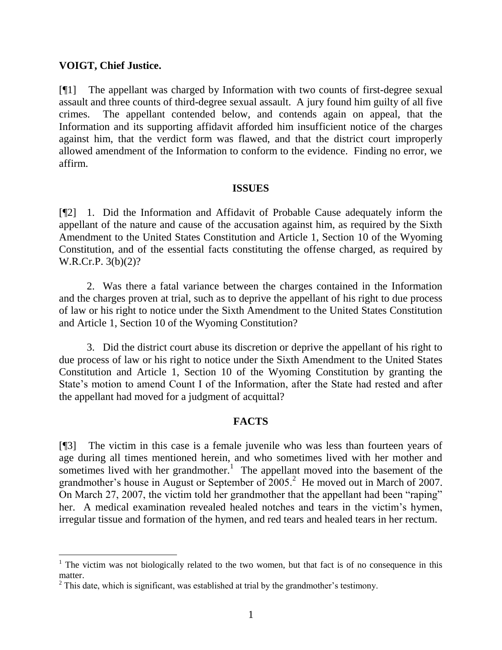## **VOIGT, Chief Justice.**

[¶1] The appellant was charged by Information with two counts of first-degree sexual assault and three counts of third-degree sexual assault. A jury found him guilty of all five crimes. The appellant contended below, and contends again on appeal, that the Information and its supporting affidavit afforded him insufficient notice of the charges against him, that the verdict form was flawed, and that the district court improperly allowed amendment of the Information to conform to the evidence. Finding no error, we affirm.

#### **ISSUES**

[¶2] 1. Did the Information and Affidavit of Probable Cause adequately inform the appellant of the nature and cause of the accusation against him, as required by the Sixth Amendment to the United States Constitution and Article 1, Section 10 of the Wyoming Constitution, and of the essential facts constituting the offense charged, as required by W.R.Cr.P. 3(b)(2)?

2. Was there a fatal variance between the charges contained in the Information and the charges proven at trial, such as to deprive the appellant of his right to due process of law or his right to notice under the Sixth Amendment to the United States Constitution and Article 1, Section 10 of the Wyoming Constitution?

3. Did the district court abuse its discretion or deprive the appellant of his right to due process of law or his right to notice under the Sixth Amendment to the United States Constitution and Article 1, Section 10 of the Wyoming Constitution by granting the State's motion to amend Count I of the Information, after the State had rested and after the appellant had moved for a judgment of acquittal?

## **FACTS**

[¶3] The victim in this case is a female juvenile who was less than fourteen years of age during all times mentioned herein, and who sometimes lived with her mother and sometimes lived with her grandmother.<sup>1</sup> The appellant moved into the basement of the grandmother's house in August or September of  $2005$ .<sup>2</sup> He moved out in March of 2007. On March 27, 2007, the victim told her grandmother that the appellant had been "raping" her. A medical examination revealed healed notches and tears in the victim's hymen, irregular tissue and formation of the hymen, and red tears and healed tears in her rectum.

 $1$  The victim was not biologically related to the two women, but that fact is of no consequence in this matter.

 $2$  This date, which is significant, was established at trial by the grandmother's testimony.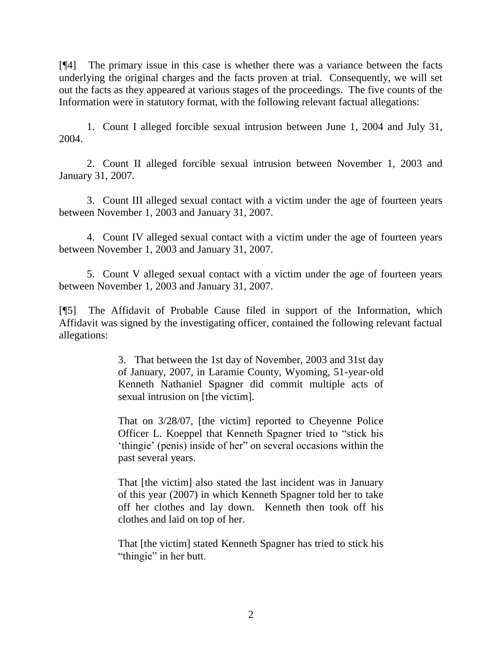[¶4] The primary issue in this case is whether there was a variance between the facts underlying the original charges and the facts proven at trial. Consequently, we will set out the facts as they appeared at various stages of the proceedings. The five counts of the Information were in statutory format, with the following relevant factual allegations:

1. Count I alleged forcible sexual intrusion between June 1, 2004 and July 31, 2004.

2. Count II alleged forcible sexual intrusion between November 1, 2003 and January 31, 2007.

3. Count III alleged sexual contact with a victim under the age of fourteen years between November 1, 2003 and January 31, 2007.

4. Count IV alleged sexual contact with a victim under the age of fourteen years between November 1, 2003 and January 31, 2007.

5. Count V alleged sexual contact with a victim under the age of fourteen years between November 1, 2003 and January 31, 2007.

[¶5] The Affidavit of Probable Cause filed in support of the Information, which Affidavit was signed by the investigating officer, contained the following relevant factual allegations:

> 3. That between the 1st day of November, 2003 and 31st day of January, 2007, in Laramie County, Wyoming, 51-year-old Kenneth Nathaniel Spagner did commit multiple acts of sexual intrusion on [the victim].

> That on 3/28/07, [the victim] reported to Cheyenne Police Officer L. Koeppel that Kenneth Spagner tried to "stick his 'thingie' (penis) inside of her" on several occasions within the past several years.

> That [the victim] also stated the last incident was in January of this year (2007) in which Kenneth Spagner told her to take off her clothes and lay down. Kenneth then took off his clothes and laid on top of her.

> That [the victim] stated Kenneth Spagner has tried to stick his "thingie" in her butt.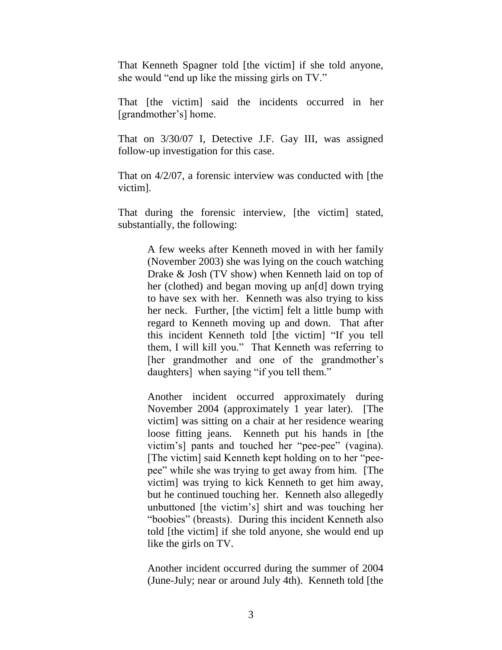That Kenneth Spagner told [the victim] if she told anyone, she would "end up like the missing girls on TV."

That [the victim] said the incidents occurred in her [grandmother's] home.

That on 3/30/07 I, Detective J.F. Gay III, was assigned follow-up investigation for this case.

That on 4/2/07, a forensic interview was conducted with [the victim].

That during the forensic interview, [the victim] stated, substantially, the following:

> A few weeks after Kenneth moved in with her family (November 2003) she was lying on the couch watching Drake & Josh (TV show) when Kenneth laid on top of her (clothed) and began moving up an[d] down trying to have sex with her. Kenneth was also trying to kiss her neck. Further, [the victim] felt a little bump with regard to Kenneth moving up and down. That after this incident Kenneth told [the victim] "If you tell them, I will kill you." That Kenneth was referring to [her grandmother and one of the grandmother's daughters] when saying "if you tell them."

> Another incident occurred approximately during November 2004 (approximately 1 year later). [The victim] was sitting on a chair at her residence wearing loose fitting jeans. Kenneth put his hands in [the victim's] pants and touched her "pee-pee" (vagina). [The victim] said Kenneth kept holding on to her "peepee" while she was trying to get away from him. [The victim] was trying to kick Kenneth to get him away, but he continued touching her. Kenneth also allegedly unbuttoned [the victim's] shirt and was touching her "boobies" (breasts). During this incident Kenneth also told [the victim] if she told anyone, she would end up like the girls on TV.

> Another incident occurred during the summer of 2004 (June-July; near or around July 4th). Kenneth told [the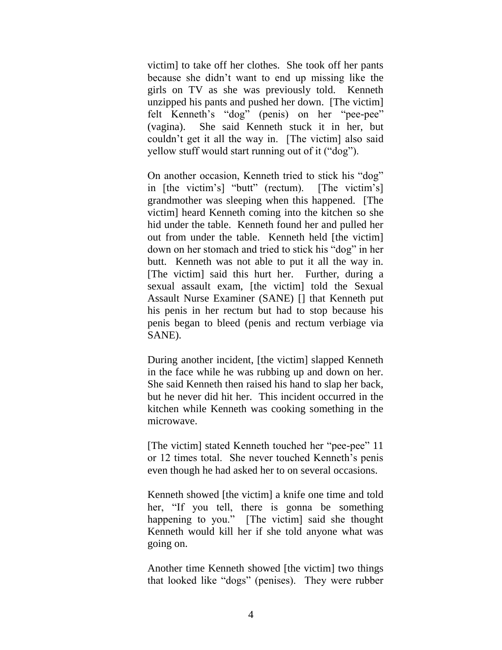victim] to take off her clothes. She took off her pants because she didn't want to end up missing like the girls on TV as she was previously told. Kenneth unzipped his pants and pushed her down. [The victim] felt Kenneth's "dog" (penis) on her "pee-pee" (vagina). She said Kenneth stuck it in her, but couldn't get it all the way in. [The victim] also said yellow stuff would start running out of it ("dog").

On another occasion, Kenneth tried to stick his "dog" in  $[the victim's]$  "butt" (rectum).  $[The victim's]$ grandmother was sleeping when this happened. [The victim] heard Kenneth coming into the kitchen so she hid under the table. Kenneth found her and pulled her out from under the table. Kenneth held [the victim] down on her stomach and tried to stick his "dog" in her butt. Kenneth was not able to put it all the way in. [The victim] said this hurt her. Further, during a sexual assault exam, [the victim] told the Sexual Assault Nurse Examiner (SANE) [] that Kenneth put his penis in her rectum but had to stop because his penis began to bleed (penis and rectum verbiage via SANE).

During another incident, [the victim] slapped Kenneth in the face while he was rubbing up and down on her. She said Kenneth then raised his hand to slap her back, but he never did hit her. This incident occurred in the kitchen while Kenneth was cooking something in the microwave.

[The victim] stated Kenneth touched her "pee-pee" 11 or 12 times total. She never touched Kenneth's penis even though he had asked her to on several occasions.

Kenneth showed [the victim] a knife one time and told her, "If you tell, there is gonna be something happening to you." [The victim] said she thought Kenneth would kill her if she told anyone what was going on.

Another time Kenneth showed [the victim] two things that looked like "dogs" (penises). They were rubber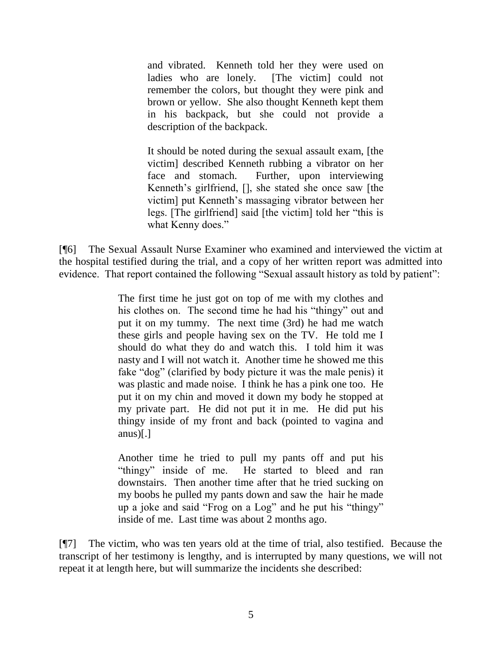and vibrated. Kenneth told her they were used on ladies who are lonely. [The victim] could not remember the colors, but thought they were pink and brown or yellow. She also thought Kenneth kept them in his backpack, but she could not provide a description of the backpack.

It should be noted during the sexual assault exam, [the victim] described Kenneth rubbing a vibrator on her face and stomach. Further, upon interviewing Kenneth's girlfriend, [], she stated she once saw [the victim] put Kenneth's massaging vibrator between her legs. [The girlfriend] said [the victim] told her "this is what Kenny does."

[¶6] The Sexual Assault Nurse Examiner who examined and interviewed the victim at the hospital testified during the trial, and a copy of her written report was admitted into evidence. That report contained the following "Sexual assault history as told by patient":

> The first time he just got on top of me with my clothes and his clothes on. The second time he had his "thingy" out and put it on my tummy. The next time (3rd) he had me watch these girls and people having sex on the TV. He told me I should do what they do and watch this. I told him it was nasty and I will not watch it. Another time he showed me this fake "dog" (clarified by body picture it was the male penis) it was plastic and made noise. I think he has a pink one too. He put it on my chin and moved it down my body he stopped at my private part. He did not put it in me. He did put his thingy inside of my front and back (pointed to vagina and anus $\vert . \vert$

> Another time he tried to pull my pants off and put his "thingy" inside of me. He started to bleed and ran downstairs. Then another time after that he tried sucking on my boobs he pulled my pants down and saw the hair he made up a joke and said "Frog on a Log" and he put his "thingy" inside of me. Last time was about 2 months ago.

[¶7] The victim, who was ten years old at the time of trial, also testified. Because the transcript of her testimony is lengthy, and is interrupted by many questions, we will not repeat it at length here, but will summarize the incidents she described: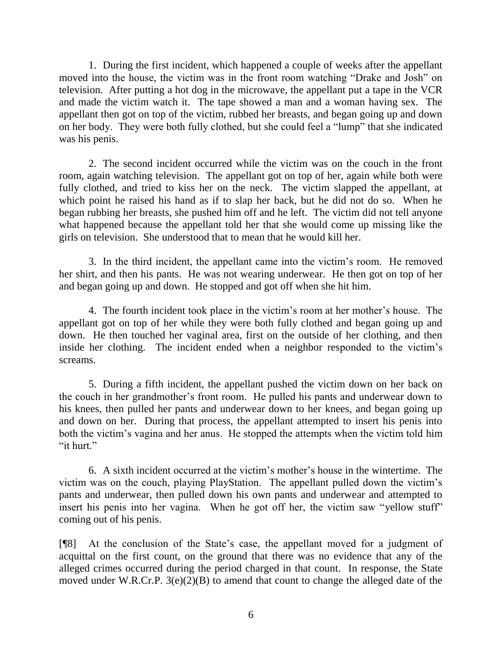1. During the first incident, which happened a couple of weeks after the appellant moved into the house, the victim was in the front room watching "Drake and Josh" on television. After putting a hot dog in the microwave, the appellant put a tape in the VCR and made the victim watch it. The tape showed a man and a woman having sex. The appellant then got on top of the victim, rubbed her breasts, and began going up and down on her body. They were both fully clothed, but she could feel a "lump" that she indicated was his penis.

2. The second incident occurred while the victim was on the couch in the front room, again watching television. The appellant got on top of her, again while both were fully clothed, and tried to kiss her on the neck. The victim slapped the appellant, at which point he raised his hand as if to slap her back, but he did not do so. When he began rubbing her breasts, she pushed him off and he left. The victim did not tell anyone what happened because the appellant told her that she would come up missing like the girls on television. She understood that to mean that he would kill her.

3. In the third incident, the appellant came into the victim's room. He removed her shirt, and then his pants. He was not wearing underwear. He then got on top of her and began going up and down. He stopped and got off when she hit him.

4. The fourth incident took place in the victim's room at her mother's house. The appellant got on top of her while they were both fully clothed and began going up and down. He then touched her vaginal area, first on the outside of her clothing, and then inside her clothing. The incident ended when a neighbor responded to the victim's screams.

5. During a fifth incident, the appellant pushed the victim down on her back on the couch in her grandmother's front room. He pulled his pants and underwear down to his knees, then pulled her pants and underwear down to her knees, and began going up and down on her. During that process, the appellant attempted to insert his penis into both the victim's vagina and her anus. He stopped the attempts when the victim told him "it hurt."

6. A sixth incident occurred at the victim's mother's house in the wintertime. The victim was on the couch, playing PlayStation. The appellant pulled down the victim's pants and underwear, then pulled down his own pants and underwear and attempted to insert his penis into her vagina. When he got off her, the victim saw "yellow stuff" coming out of his penis.

[¶8] At the conclusion of the State's case, the appellant moved for a judgment of acquittal on the first count, on the ground that there was no evidence that any of the alleged crimes occurred during the period charged in that count. In response, the State moved under W.R.Cr.P. 3(e)(2)(B) to amend that count to change the alleged date of the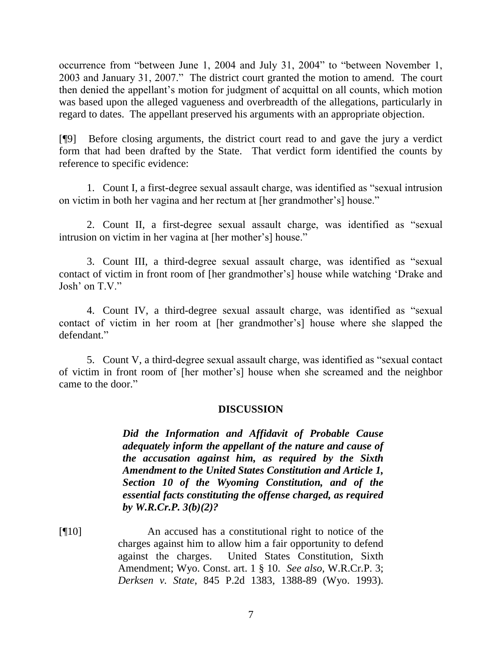occurrence from "between June 1, 2004 and July 31, 2004" to "between November 1, 2003 and January 31, 2007." The district court granted the motion to amend. The court then denied the appellant's motion for judgment of acquittal on all counts, which motion was based upon the alleged vagueness and overbreadth of the allegations, particularly in regard to dates. The appellant preserved his arguments with an appropriate objection.

[¶9] Before closing arguments, the district court read to and gave the jury a verdict form that had been drafted by the State. That verdict form identified the counts by reference to specific evidence:

1. Count I, a first-degree sexual assault charge, was identified as "sexual intrusion on victim in both her vagina and her rectum at [her grandmother's] house."

2. Count II, a first-degree sexual assault charge, was identified as "sexual intrusion on victim in her vagina at [her mother's] house."

3. Count III, a third-degree sexual assault charge, was identified as "sexual contact of victim in front room of [her grandmother's] house while watching 'Drake and Josh' on  $T V$ .

4. Count IV, a third-degree sexual assault charge, was identified as "sexual contact of victim in her room at [her grandmother's] house where she slapped the defendant."

5. Count V, a third-degree sexual assault charge, was identified as "sexual contact" of victim in front room of [her mother's] house when she screamed and the neighbor came to the door."

## **DISCUSSION**

*Did the Information and Affidavit of Probable Cause adequately inform the appellant of the nature and cause of the accusation against him, as required by the Sixth Amendment to the United States Constitution and Article 1, Section 10 of the Wyoming Constitution, and of the essential facts constituting the offense charged, as required by W.R.Cr.P. 3(b)(2)?*

[¶10] An accused has a constitutional right to notice of the charges against him to allow him a fair opportunity to defend against the charges. United States Constitution, Sixth Amendment; Wyo. Const. art. 1 § 10. *See also*, W.R.Cr.P. 3; *Derksen v. State*, 845 P.2d 1383, 1388-89 (Wyo. 1993).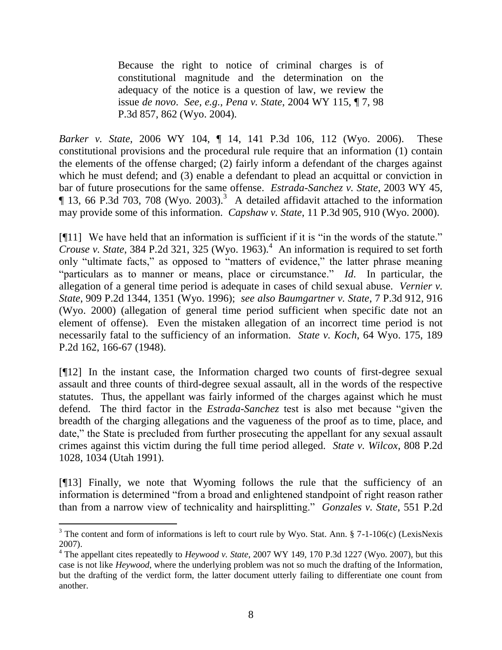Because the right to notice of criminal charges is of constitutional magnitude and the determination on the adequacy of the notice is a question of law, we review the issue *de novo*. *See, e.g., Pena v. State*, 2004 WY 115, ¶ 7, 98 P.3d 857, 862 (Wyo. 2004).

*Barker v. State*, 2006 WY 104, ¶ 14, 141 P.3d 106, 112 (Wyo. 2006). These constitutional provisions and the procedural rule require that an information (1) contain the elements of the offense charged; (2) fairly inform a defendant of the charges against which he must defend; and (3) enable a defendant to plead an acquittal or conviction in bar of future prosecutions for the same offense. *Estrada-Sanchez v. State*, 2003 WY 45,  $\P$  13, 66 P.3d 703, 708 (Wyo. 2003).<sup>3</sup> A detailed affidavit attached to the information may provide some of this information. *Capshaw v. State*, 11 P.3d 905, 910 (Wyo. 2000).

 $[$ [11] We have held that an information is sufficient if it is "in the words of the statute." *Crouse v. State*, 384 P.2d 321, 325 (Wyo. 1963).<sup>4</sup> An information is required to set forth only "ultimate facts," as opposed to "matters of evidence," the latter phrase meaning "particulars as to manner or means, place or circumstance." *Id*. In particular, the allegation of a general time period is adequate in cases of child sexual abuse. *Vernier v. State*, 909 P.2d 1344, 1351 (Wyo. 1996); *see also Baumgartner v. State*, 7 P.3d 912, 916 (Wyo. 2000) (allegation of general time period sufficient when specific date not an element of offense). Even the mistaken allegation of an incorrect time period is not necessarily fatal to the sufficiency of an information. *State v. Koch*, 64 Wyo. 175, 189 P.2d 162, 166-67 (1948).

[¶12] In the instant case, the Information charged two counts of first-degree sexual assault and three counts of third-degree sexual assault, all in the words of the respective statutes. Thus, the appellant was fairly informed of the charges against which he must defend. The third factor in the *Estrada-Sanchez* test is also met because "given the breadth of the charging allegations and the vagueness of the proof as to time, place, and date," the State is precluded from further prosecuting the appellant for any sexual assault crimes against this victim during the full time period alleged. *State v. Wilcox*, 808 P.2d 1028, 1034 (Utah 1991).

[¶13] Finally, we note that Wyoming follows the rule that the sufficiency of an information is determined "from a broad and enlightened standpoint of right reason rather than from a narrow view of technicality and hairsplitting." *Gonzales v. State*, 551 P.2d

  $3$  The content and form of informations is left to court rule by Wyo. Stat. Ann. § 7-1-106(c) (LexisNexis 2007).

<sup>4</sup> The appellant cites repeatedly to *Heywood v. State*, 2007 WY 149, 170 P.3d 1227 (Wyo. 2007), but this case is not like *Heywood*, where the underlying problem was not so much the drafting of the Information, but the drafting of the verdict form, the latter document utterly failing to differentiate one count from another.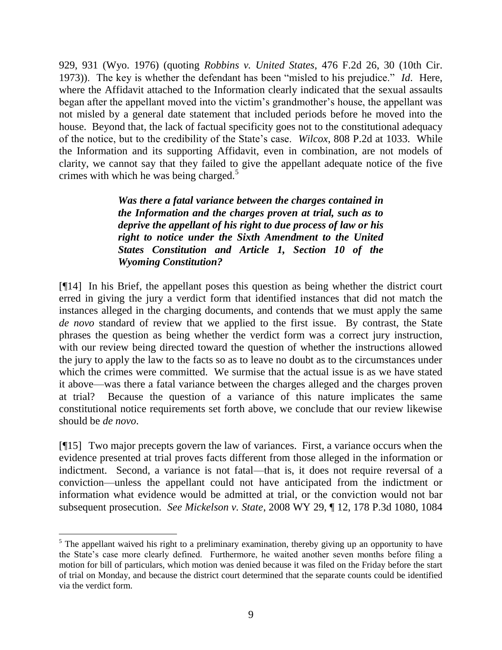929, 931 (Wyo. 1976) (quoting *Robbins v. United States*, 476 F.2d 26, 30 (10th Cir. 1973)). The key is whether the defendant has been "misled to his prejudice." *Id*. Here, where the Affidavit attached to the Information clearly indicated that the sexual assaults began after the appellant moved into the victim's grandmother's house, the appellant was not misled by a general date statement that included periods before he moved into the house. Beyond that, the lack of factual specificity goes not to the constitutional adequacy of the notice, but to the credibility of the State's case. *Wilcox*, 808 P.2d at 1033. While the Information and its supporting Affidavit, even in combination, are not models of clarity, we cannot say that they failed to give the appellant adequate notice of the five crimes with which he was being charged.<sup>5</sup>

> *Was there a fatal variance between the charges contained in the Information and the charges proven at trial, such as to deprive the appellant of his right to due process of law or his right to notice under the Sixth Amendment to the United States Constitution and Article 1, Section 10 of the Wyoming Constitution?*

[¶14] In his Brief, the appellant poses this question as being whether the district court erred in giving the jury a verdict form that identified instances that did not match the instances alleged in the charging documents, and contends that we must apply the same *de novo* standard of review that we applied to the first issue. By contrast, the State phrases the question as being whether the verdict form was a correct jury instruction, with our review being directed toward the question of whether the instructions allowed the jury to apply the law to the facts so as to leave no doubt as to the circumstances under which the crimes were committed. We surmise that the actual issue is as we have stated it above—was there a fatal variance between the charges alleged and the charges proven at trial? Because the question of a variance of this nature implicates the same constitutional notice requirements set forth above, we conclude that our review likewise should be *de novo*.

[¶15] Two major precepts govern the law of variances. First, a variance occurs when the evidence presented at trial proves facts different from those alleged in the information or indictment. Second, a variance is not fatal—that is, it does not require reversal of a conviction—unless the appellant could not have anticipated from the indictment or information what evidence would be admitted at trial, or the conviction would not bar subsequent prosecution. *See Mickelson v. State*, 2008 WY 29, ¶ 12, 178 P.3d 1080, 1084

 <sup>5</sup> The appellant waived his right to a preliminary examination, thereby giving up an opportunity to have the State's case more clearly defined. Furthermore, he waited another seven months before filing a motion for bill of particulars, which motion was denied because it was filed on the Friday before the start of trial on Monday, and because the district court determined that the separate counts could be identified via the verdict form.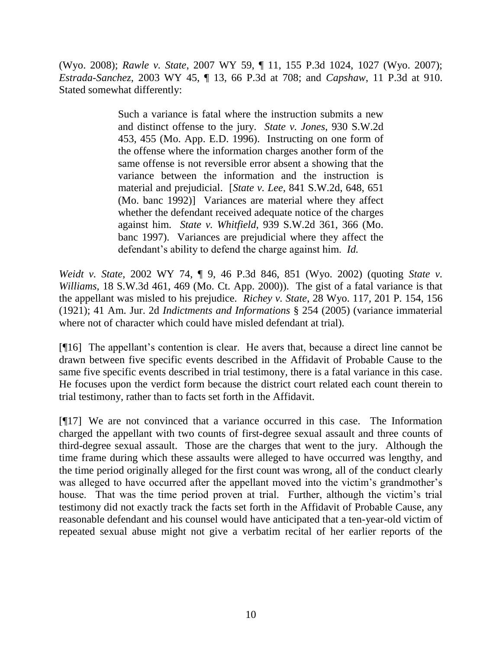(Wyo. 2008); *Rawle v. State*, 2007 WY 59, ¶ 11, 155 P.3d 1024, 1027 (Wyo. 2007); *Estrada-Sanchez*, 2003 WY 45, ¶ 13, 66 P.3d at 708; and *Capshaw*, 11 P.3d at 910. Stated somewhat differently:

> Such a variance is fatal where the instruction submits a new and distinct offense to the jury. *State v. Jones*, 930 S.W.2d 453, 455 (Mo. App. E.D. 1996). Instructing on one form of the offense where the information charges another form of the same offense is not reversible error absent a showing that the variance between the information and the instruction is material and prejudicial. [*State v. Lee*, 841 S.W.2d, 648, 651 (Mo. banc 1992)] Variances are material where they affect whether the defendant received adequate notice of the charges against him. *State v. Whitfield*, 939 S.W.2d 361, 366 (Mo. banc 1997). Variances are prejudicial where they affect the defendant's ability to defend the charge against him. *Id.*

*Weidt v. State*, 2002 WY 74, ¶ 9, 46 P.3d 846, 851 (Wyo. 2002) (quoting *State v. Williams*, 18 S.W.3d 461, 469 (Mo. Ct. App. 2000)). The gist of a fatal variance is that the appellant was misled to his prejudice. *Richey v. State*, 28 Wyo. 117, 201 P. 154, 156 (1921); 41 Am. Jur. 2d *Indictments and Informations* § 254 (2005) (variance immaterial where not of character which could have misled defendant at trial).

[¶16] The appellant's contention is clear. He avers that, because a direct line cannot be drawn between five specific events described in the Affidavit of Probable Cause to the same five specific events described in trial testimony, there is a fatal variance in this case. He focuses upon the verdict form because the district court related each count therein to trial testimony, rather than to facts set forth in the Affidavit.

[¶17] We are not convinced that a variance occurred in this case. The Information charged the appellant with two counts of first-degree sexual assault and three counts of third-degree sexual assault. Those are the charges that went to the jury. Although the time frame during which these assaults were alleged to have occurred was lengthy, and the time period originally alleged for the first count was wrong, all of the conduct clearly was alleged to have occurred after the appellant moved into the victim's grandmother's house. That was the time period proven at trial. Further, although the victim's trial testimony did not exactly track the facts set forth in the Affidavit of Probable Cause, any reasonable defendant and his counsel would have anticipated that a ten-year-old victim of repeated sexual abuse might not give a verbatim recital of her earlier reports of the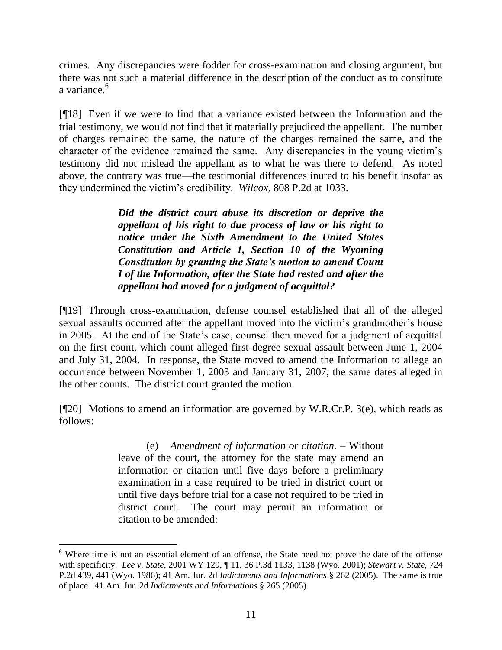crimes. Any discrepancies were fodder for cross-examination and closing argument, but there was not such a material difference in the description of the conduct as to constitute a variance.<sup>6</sup>

[¶18] Even if we were to find that a variance existed between the Information and the trial testimony, we would not find that it materially prejudiced the appellant. The number of charges remained the same, the nature of the charges remained the same, and the character of the evidence remained the same. Any discrepancies in the young victim's testimony did not mislead the appellant as to what he was there to defend. As noted above, the contrary was true—the testimonial differences inured to his benefit insofar as they undermined the victim's credibility. *Wilcox,* 808 P.2d at 1033.

> *Did the district court abuse its discretion or deprive the appellant of his right to due process of law or his right to notice under the Sixth Amendment to the United States Constitution and Article 1, Section 10 of the Wyoming Constitution by granting the State's motion to amend Count I of the Information, after the State had rested and after the appellant had moved for a judgment of acquittal?*

[¶19] Through cross-examination, defense counsel established that all of the alleged sexual assaults occurred after the appellant moved into the victim's grandmother's house in 2005. At the end of the State's case, counsel then moved for a judgment of acquittal on the first count, which count alleged first-degree sexual assault between June 1, 2004 and July 31, 2004. In response, the State moved to amend the Information to allege an occurrence between November 1, 2003 and January 31, 2007, the same dates alleged in the other counts. The district court granted the motion.

[¶20] Motions to amend an information are governed by W.R.Cr.P. 3(e), which reads as follows:

> (e) *Amendment of information or citation.* – Without leave of the court, the attorney for the state may amend an information or citation until five days before a preliminary examination in a case required to be tried in district court or until five days before trial for a case not required to be tried in district court. The court may permit an information or citation to be amended:

<sup>&</sup>lt;sup>6</sup> Where time is not an essential element of an offense, the State need not prove the date of the offense with specificity. *Lee v. State*, 2001 WY 129, ¶ 11, 36 P.3d 1133, 1138 (Wyo. 2001); *Stewart v. State,* 724 P.2d 439, 441 (Wyo. 1986); 41 Am. Jur. 2d *Indictments and Informations* § 262 (2005). The same is true of place. 41 Am. Jur. 2d *Indictments and Informations* § 265 (2005).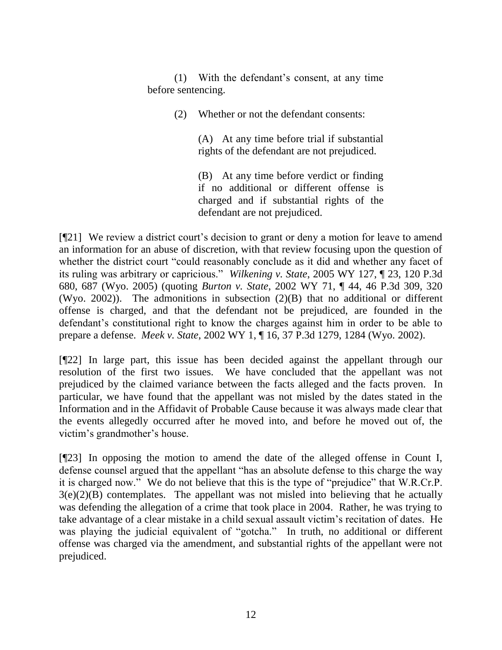(1) With the defendant's consent, at any time before sentencing.

(2) Whether or not the defendant consents:

(A) At any time before trial if substantial rights of the defendant are not prejudiced.

(B) At any time before verdict or finding if no additional or different offense is charged and if substantial rights of the defendant are not prejudiced.

[¶21] We review a district court's decision to grant or deny a motion for leave to amend an information for an abuse of discretion, with that review focusing upon the question of whether the district court "could reasonably conclude as it did and whether any facet of its ruling was arbitrary or capricious.‖ *Wilkening v. State*, 2005 WY 127, ¶ 23, 120 P.3d 680, 687 (Wyo. 2005) (quoting *Burton v. State*, 2002 WY 71, ¶ 44, 46 P.3d 309, 320 (Wyo. 2002)). The admonitions in subsection (2)(B) that no additional or different offense is charged, and that the defendant not be prejudiced, are founded in the defendant's constitutional right to know the charges against him in order to be able to prepare a defense. *Meek v. State*, 2002 WY 1, ¶ 16, 37 P.3d 1279, 1284 (Wyo. 2002).

[¶22] In large part, this issue has been decided against the appellant through our resolution of the first two issues. We have concluded that the appellant was not prejudiced by the claimed variance between the facts alleged and the facts proven. In particular, we have found that the appellant was not misled by the dates stated in the Information and in the Affidavit of Probable Cause because it was always made clear that the events allegedly occurred after he moved into, and before he moved out of, the victim's grandmother's house.

[¶23] In opposing the motion to amend the date of the alleged offense in Count I, defense counsel argued that the appellant "has an absolute defense to this charge the way it is charged now." We do not believe that this is the type of "prejudice" that W.R.Cr.P.  $3(e)(2)(B)$  contemplates. The appellant was not misled into believing that he actually was defending the allegation of a crime that took place in 2004. Rather, he was trying to take advantage of a clear mistake in a child sexual assault victim's recitation of dates. He was playing the judicial equivalent of "gotcha." In truth, no additional or different offense was charged via the amendment, and substantial rights of the appellant were not prejudiced.